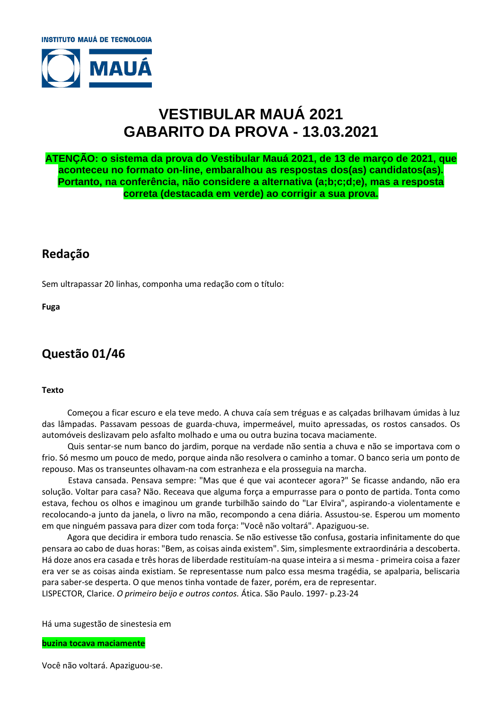

# **VESTIBULAR MAUÁ 2021 GABARITO DA PROVA - 13.03.2021**

**ATENÇÃO: o sistema da prova do Vestibular Mauá 2021, de 13 de março de 2021, que aconteceu no formato on-line, embaralhou as respostas dos(as) candidatos(as). Portanto, na conferência, não considere a alternativa (a;b;c;d;e), mas a resposta correta (destacada em verde) ao corrigir a sua prova.**

# **Redação**

Sem ultrapassar 20 linhas, componha uma redação com o título:

**Fuga**

# **Questão 01/46**

#### **Texto**

 Começou a ficar escuro e ela teve medo. A chuva caía sem tréguas e as calçadas brilhavam úmidas à luz das lâmpadas. Passavam pessoas de guarda-chuva, impermeável, muito apressadas, os rostos cansados. Os automóveis deslizavam pelo asfalto molhado e uma ou outra buzina tocava maciamente.

 Quis sentar-se num banco do jardim, porque na verdade não sentia a chuva e não se importava com o frio. Só mesmo um pouco de medo, porque ainda não resolvera o caminho a tomar. O banco seria um ponto de repouso. Mas os transeuntes olhavam-na com estranheza e ela prosseguia na marcha.

 Estava cansada. Pensava sempre: "Mas que é que vai acontecer agora?" Se ficasse andando, não era solução. Voltar para casa? Não. Receava que alguma força a empurrasse para o ponto de partida. Tonta como estava, fechou os olhos e imaginou um grande turbilhão saindo do "Lar Elvira", aspirando-a violentamente e recolocando-a junto da janela, o livro na mão, recompondo a cena diária. Assustou-se. Esperou um momento em que ninguém passava para dizer com toda força: "Você não voltará". Apaziguou-se.

 Agora que decidira ir embora tudo renascia. Se não estivesse tão confusa, gostaria infinitamente do que pensara ao cabo de duas horas: "Bem, as coisas ainda existem". Sim, simplesmente extraordinária a descoberta. Há doze anos era casada e três horas de liberdade restituíam-na quase inteira a si mesma - primeira coisa a fazer era ver se as coisas ainda existiam. Se representasse num palco essa mesma tragédia, se apalparia, beliscaria para saber-se desperta. O que menos tinha vontade de fazer, porém, era de representar. LISPECTOR, Clarice. *O primeiro beijo e outros contos.* Ática. São Paulo. 1997- p.23-24

Há uma sugestão de sinestesia em

**buzina tocava maciamente**

Você não voltará. Apaziguou-se.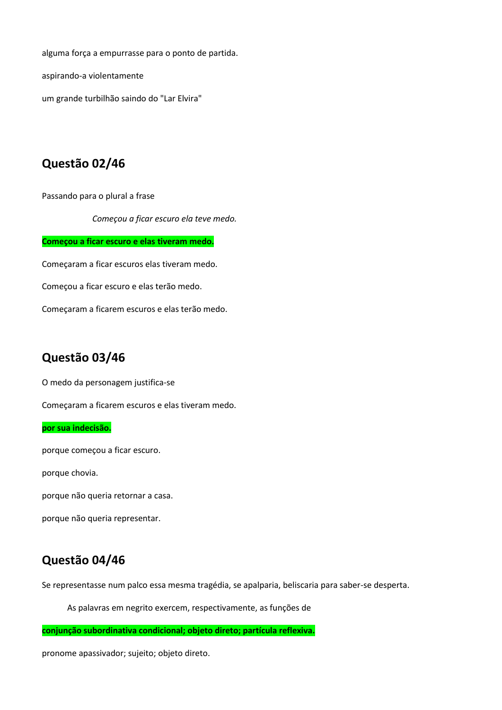alguma força a empurrasse para o ponto de partida.

aspirando-a violentamente

um grande turbilhão saindo do "Lar Elvira"

### **Questão 02/46**

Passando para o plural a frase

*Começou a ficar escuro ela teve medo.*

**Começou a ficar escuro e elas tiveram medo.**

Começaram a ficar escuros elas tiveram medo.

Começou a ficar escuro e elas terão medo.

Começaram a ficarem escuros e elas terão medo.

#### **Questão 03/46**

O medo da personagem justifica-se

Começaram a ficarem escuros e elas tiveram medo.

#### **por sua indecisão.**

porque começou a ficar escuro.

porque chovia.

porque não queria retornar a casa.

porque não queria representar.

### **Questão 04/46**

Se representasse num palco essa mesma tragédia, se apalparia, beliscaria para saber-se desperta.

As palavras em negrito exercem, respectivamente, as funções de

**conjunção subordinativa condicional; objeto direto; partícula reflexiva.**

pronome apassivador; sujeito; objeto direto.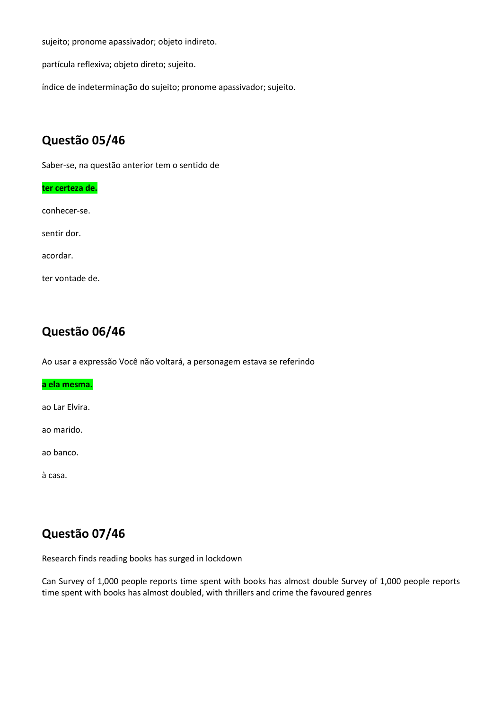sujeito; pronome apassivador; objeto indireto.

partícula reflexiva; objeto direto; sujeito.

índice de indeterminação do sujeito; pronome apassivador; sujeito.

# **Questão 05/46**

Saber-se, na questão anterior tem o sentido de

| ter certeza de. |  |  |  |  |  |
|-----------------|--|--|--|--|--|
| conhecer-se.    |  |  |  |  |  |
| sentir dor.     |  |  |  |  |  |
| acordar.        |  |  |  |  |  |
| ter vontade de. |  |  |  |  |  |

# **Questão 06/46**

Ao usar a expressão Você não voltará, a personagem estava se referindo

**a ela mesma.**

ao Lar Elvira.

ao marido.

ao banco.

à casa.

# **Questão 07/46**

Research finds reading books has surged in lockdown

Can Survey of 1,000 people reports time spent with books has almost double Survey of 1,000 people reports time spent with books has almost doubled, with thrillers and crime the favoured genres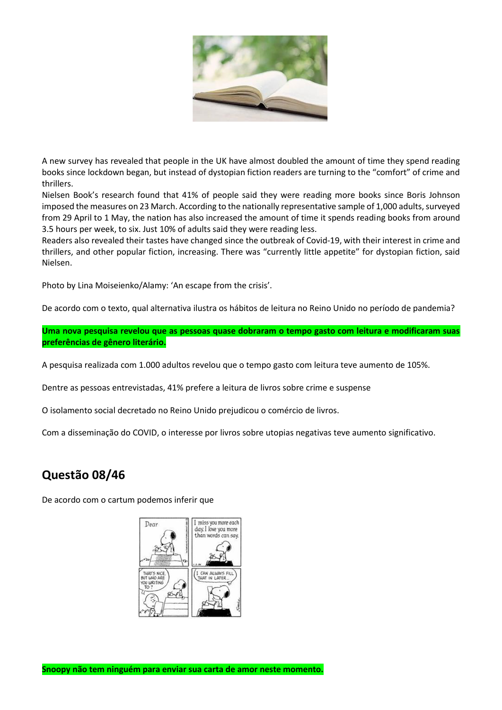

A new survey has revealed that people in the UK have almost doubled the amount of time they spend reading books since lockdown began, but instead of dystopian fiction readers are turning to the "comfort" of crime and thrillers.

Nielsen Book's research found that 41% of people said they were reading more books since Boris Johnson imposed the measures on 23 March. According to the nationally representative sample of 1,000 adults, surveyed from 29 April to 1 May, the nation has also increased the amount of time it spends reading books from around 3.5 hours per week, to six. Just 10% of adults said they were reading less.

Readers also revealed their tastes have changed since the outbreak of Covid-19, with their interest in crime and thrillers, and other popular fiction, increasing. There was "currently little appetite" for dystopian fiction, said Nielsen.

Photo by Lina Moiseienko/Alamy: 'An escape from the crisis'.

De acordo com o texto, qual alternativa ilustra os hábitos de leitura no Reino Unido no período de pandemia?

**Uma nova pesquisa revelou que as pessoas quase dobraram o tempo gasto com leitura e modificaram suas preferências de gênero literário.**

A pesquisa realizada com 1.000 adultos revelou que o tempo gasto com leitura teve aumento de 105%.

Dentre as pessoas entrevistadas, 41% prefere a leitura de livros sobre crime e suspense

O isolamento social decretado no Reino Unido prejudicou o comércio de livros.

Com a disseminação do COVID, o interesse por livros sobre utopias negativas teve aumento significativo.

# **Questão 08/46**

De acordo com o cartum podemos inferir que

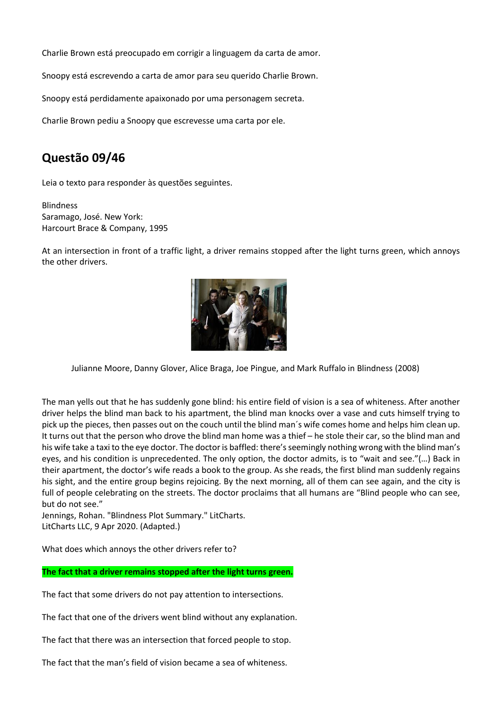Charlie Brown está preocupado em corrigir a linguagem da carta de amor.

Snoopy está escrevendo a carta de amor para seu querido Charlie Brown.

Snoopy está perdidamente apaixonado por uma personagem secreta.

Charlie Brown pediu a Snoopy que escrevesse uma carta por ele.

# **Questão 09/46**

Leia o texto para responder às questões seguintes.

**Blindness** Saramago, José. New York: Harcourt Brace & Company, 1995

At an intersection in front of a traffic light, a driver remains stopped after the light turns green, which annoys the other drivers.



Julianne Moore, Danny Glover, Alice Braga, Joe Pingue, and Mark Ruffalo in Blindness (2008)

The man yells out that he has suddenly gone blind: his entire field of vision is a sea of whiteness. After another driver helps the blind man back to his apartment, the blind man knocks over a vase and cuts himself trying to pick up the pieces, then passes out on the couch until the blind man´s wife comes home and helps him clean up. It turns out that the person who drove the blind man home was a thief – he stole their car, so the blind man and his wife take a taxi to the eye doctor. The doctor is baffled: there's seemingly nothing wrong with the blind man's eyes, and his condition is unprecedented. The only option, the doctor admits, is to "wait and see."(…) Back in their apartment, the doctor's wife reads a book to the group. As she reads, the first blind man suddenly regains his sight, and the entire group begins rejoicing. By the next morning, all of them can see again, and the city is full of people celebrating on the streets. The doctor proclaims that all humans are "Blind people who can see, but do not see."

Jennings, Rohan. "Blindness Plot Summary." LitCharts. LitCharts LLC, 9 Apr 2020. (Adapted.)

What does which annoys the other drivers refer to?

**The fact that a driver remains stopped after the light turns green.**

The fact that some drivers do not pay attention to intersections.

The fact that one of the drivers went blind without any explanation.

The fact that there was an intersection that forced people to stop.

The fact that the man's field of vision became a sea of whiteness.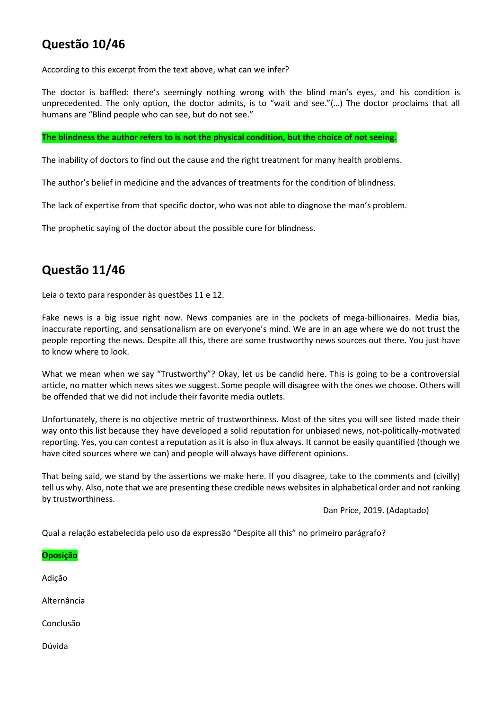# **Questão 10/46**

According to this excerpt from the text above, what can we infer?

The doctor is baffled: there's seemingly nothing wrong with the blind man's eyes, and his condition is unprecedented. The only option, the doctor admits, is to "wait and see."(…) The doctor proclaims that all humans are "Blind people who can see, but do not see."

#### **The blindness the author refers to is not the physical condition, but the choice of not seeing.**

The inability of doctors to find out the cause and the right treatment for many health problems.

The author's belief in medicine and the advances of treatments for the condition of blindness.

The lack of expertise from that specific doctor, who was not able to diagnose the man's problem.

The prophetic saying of the doctor about the possible cure for blindness.

# **Questão 11/46**

Leia o texto para responder às questões 11 e 12.

Fake news is a big issue right now. News companies are in the pockets of mega-billionaires. Media bias, inaccurate reporting, and sensationalism are on everyone's mind. We are in an age where we do not trust the people reporting the news. Despite all this, there are some trustworthy news sources out there. You just have to know where to look.

What we mean when we say "Trustworthy"? Okay, let us be candid here. This is going to be a controversial article, no matter which news sites we suggest. Some people will disagree with the ones we choose. Others will be offended that we did not include their favorite media outlets.

Unfortunately, there is no objective metric of trustworthiness. Most of the sites you will see listed made their way onto this list because they have developed a solid reputation for unbiased news, not-politically-motivated reporting. Yes, you can contest a reputation as it is also in flux always. It cannot be easily quantified (though we have cited sources where we can) and people will always have different opinions.

That being said, we stand by the assertions we make here. If you disagree, take to the comments and (civilly) tell us why. Also, note that we are presenting these credible news websites in alphabetical order and not ranking by trustworthiness.

Dan Price, 2019. (Adaptado)

Qual a relação estabelecida pelo uso da expressão "Despite all this" no primeiro parágrafo?

**Oposição** Adição Alternância Conclusão

Dúvida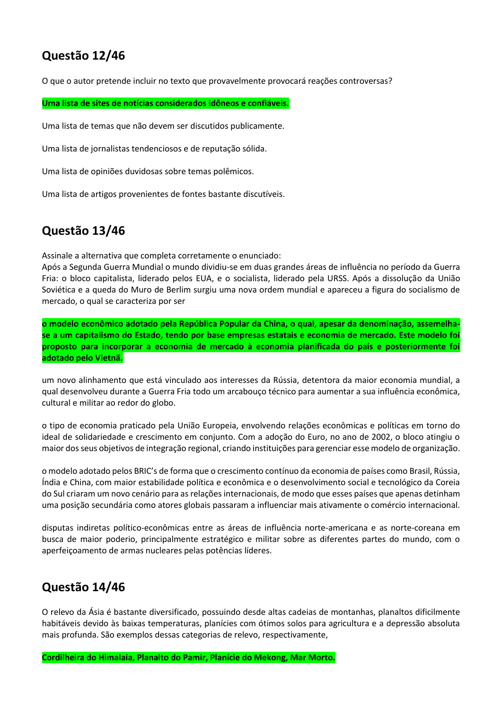# **Questão 12/46**

O que o autor pretende incluir no texto que provavelmente provocará reações controversas?

**Uma lista de sites de notícias considerados idôneos e confiáveis.**

Uma lista de temas que não devem ser discutidos publicamente.

Uma lista de jornalistas tendenciosos e de reputação sólida.

Uma lista de opiniões duvidosas sobre temas polêmicos.

Uma lista de artigos provenientes de fontes bastante discutíveis.

# **Questão 13/46**

Assinale a alternativa que completa corretamente o enunciado:

Após a Segunda Guerra Mundial o mundo dividiu-se em duas grandes áreas de influência no período da Guerra Fria: o bloco capitalista, liderado pelos EUA, e o socialista, liderado pela URSS. Após a dissolução da União Soviética e a queda do Muro de Berlim surgiu uma nova ordem mundial e apareceu a figura do socialismo de mercado, o qual se caracteriza por ser

**o modelo econômico adotado pela República Popular da China, o qual, apesar da denominação, assemelhase a um capitalismo do Estado, tendo por base empresas estatais e economia de mercado. Este modelo foi proposto para incorporar a economia de mercado à economia planificada do país e posteriormente foi adotado pelo Vietnã.**

um novo alinhamento que está vinculado aos interesses da Rússia, detentora da maior economia mundial, a qual desenvolveu durante a Guerra Fria todo um arcabouço técnico para aumentar a sua influência econômica, cultural e militar ao redor do globo.

o tipo de economia praticado pela União Europeia, envolvendo relações econômicas e políticas em torno do ideal de solidariedade e crescimento em conjunto. Com a adoção do Euro, no ano de 2002, o bloco atingiu o maior dos seus objetivos de integração regional, criando instituições para gerenciar esse modelo de organização.

o modelo adotado pelos BRIC's de forma que o crescimento contínuo da economia de países como Brasil, Rússia, Índia e China, com maior estabilidade política e econômica e o desenvolvimento social e tecnológico da Coreia do Sul criaram um novo cenário para as relações internacionais, de modo que esses países que apenas detinham uma posição secundária como atores globais passaram a influenciar mais ativamente o comércio internacional.

disputas indiretas político-econômicas entre as áreas de influência norte-americana e as norte-coreana em busca de maior poderio, principalmente estratégico e militar sobre as diferentes partes do mundo, com o aperfeiçoamento de armas nucleares pelas potências líderes.

# **Questão 14/46**

O relevo da Ásia é bastante diversificado, possuindo desde altas cadeias de montanhas, planaltos dificilmente habitáveis devido às baixas temperaturas, planícies com ótimos solos para agricultura e a depressão absoluta mais profunda. São exemplos dessas categorias de relevo, respectivamente,

**Cordilheira do Himalaia, Planalto do Pamir, Planície do Mekong, Mar Morto.**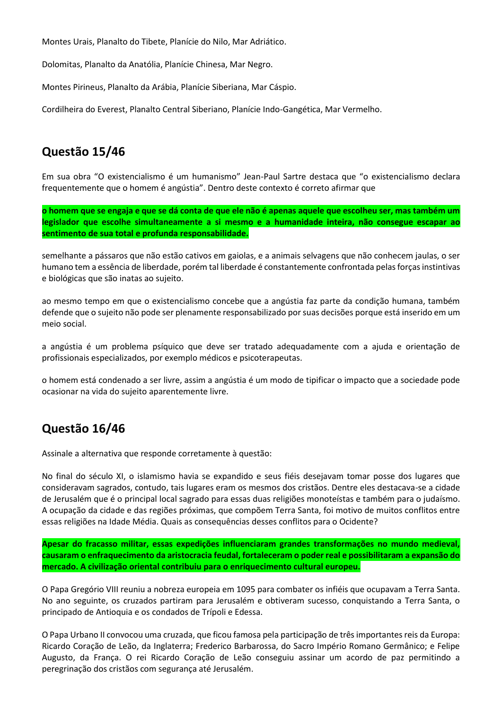Montes Urais, Planalto do Tibete, Planície do Nilo, Mar Adriático.

Dolomitas, Planalto da Anatólia, Planície Chinesa, Mar Negro.

Montes Pirineus, Planalto da Arábia, Planície Siberiana, Mar Cáspio.

Cordilheira do Everest, Planalto Central Siberiano, Planície Indo-Gangética, Mar Vermelho.

# **Questão 15/46**

Em sua obra "O existencialismo é um humanismo" Jean-Paul Sartre destaca que "o existencialismo declara frequentemente que o homem é angústia". Dentro deste contexto é correto afirmar que

**o homem que se engaja e que se dá conta de que ele não é apenas aquele que escolheu ser, mas também um legislador que escolhe simultaneamente a si mesmo e a humanidade inteira, não consegue escapar ao sentimento de sua total e profunda responsabilidade.**

semelhante a pássaros que não estão cativos em gaiolas, e a animais selvagens que não conhecem jaulas, o ser humano tem a essência de liberdade, porém tal liberdade é constantemente confrontada pelas forças instintivas e biológicas que são inatas ao sujeito.

ao mesmo tempo em que o existencialismo concebe que a angústia faz parte da condição humana, também defende que o sujeito não pode ser plenamente responsabilizado por suas decisões porque está inserido em um meio social.

a angústia é um problema psíquico que deve ser tratado adequadamente com a ajuda e orientação de profissionais especializados, por exemplo médicos e psicoterapeutas.

o homem está condenado a ser livre, assim a angústia é um modo de tipificar o impacto que a sociedade pode ocasionar na vida do sujeito aparentemente livre.

# **Questão 16/46**

Assinale a alternativa que responde corretamente à questão:

No final do século XI, o islamismo havia se expandido e seus fiéis desejavam tomar posse dos lugares que consideravam sagrados, contudo, tais lugares eram os mesmos dos cristãos. Dentre eles destacava-se a cidade de Jerusalém que é o principal local sagrado para essas duas religiões monoteístas e também para o judaísmo. A ocupação da cidade e das regiões próximas, que compõem Terra Santa, foi motivo de muitos conflitos entre essas religiões na Idade Média. Quais as consequências desses conflitos para o Ocidente?

**Apesar do fracasso militar, essas expedições influenciaram grandes transformações no mundo medieval, causaram o enfraquecimento da aristocracia feudal, fortaleceram o poder real e possibilitaram a expansão do mercado. A civilização oriental contribuiu para o enriquecimento cultural europeu.**

O Papa Gregório VIII reuniu a nobreza europeia em 1095 para combater os infiéis que ocupavam a Terra Santa. No ano seguinte, os cruzados partiram para Jerusalém e obtiveram sucesso, conquistando a Terra Santa, o principado de Antioquia e os condados de Trípoli e Edessa.

O Papa Urbano II convocou uma cruzada, que ficou famosa pela participação de três importantes reis da Europa: Ricardo Coração de Leão, da Inglaterra; Frederico Barbarossa, do Sacro Império Romano Germânico; e Felipe Augusto, da França. O rei Ricardo Coração de Leão conseguiu assinar um acordo de paz permitindo a peregrinação dos cristãos com segurança até Jerusalém.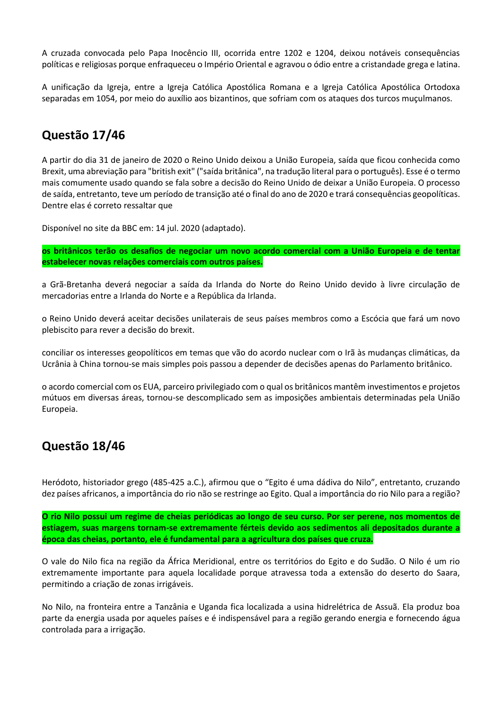A cruzada convocada pelo Papa Inocêncio III, ocorrida entre 1202 e 1204, deixou notáveis consequências políticas e religiosas porque enfraqueceu o Império Oriental e agravou o ódio entre a cristandade grega e latina.

A unificação da Igreja, entre a Igreja Católica Apostólica Romana e a Igreja Católica Apostólica Ortodoxa separadas em 1054, por meio do auxílio aos bizantinos, que sofriam com os ataques dos turcos muçulmanos.

# **Questão 17/46**

A partir do dia 31 de janeiro de 2020 o Reino Unido deixou a União Europeia, saída que ficou conhecida como Brexit, uma abreviação para "british exit" ("saída britânica", na tradução literal para o português). Esse é o termo mais comumente usado quando se fala sobre a decisão do Reino Unido de deixar a União Europeia. O processo de saída, entretanto, teve um período de transição até o final do ano de 2020 e trará consequências geopolíticas. Dentre elas é correto ressaltar que

Disponível no site da BBC em: 14 jul. 2020 (adaptado).

**os britânicos terão os desafios de negociar um novo acordo comercial com a União Europeia e de tentar estabelecer novas relações comerciais com outros países.**

a Grã-Bretanha deverá negociar a saída da Irlanda do Norte do Reino Unido devido à livre circulação de mercadorias entre a Irlanda do Norte e a República da Irlanda.

o Reino Unido deverá aceitar decisões unilaterais de seus países membros como a Escócia que fará um novo plebiscito para rever a decisão do brexit.

conciliar os interesses geopolíticos em temas que vão do acordo nuclear com o Irã às mudanças climáticas, da Ucrânia à China tornou-se mais simples pois passou a depender de decisões apenas do Parlamento britânico.

o acordo comercial com os EUA, parceiro privilegiado com o qual os britânicos mantêm investimentos e projetos mútuos em diversas áreas, tornou-se descomplicado sem as imposições ambientais determinadas pela União Europeia.

### **Questão 18/46**

Heródoto, historiador grego (485-425 a.C.), afirmou que o "Egito é uma dádiva do Nilo", entretanto, cruzando dez países africanos, a importância do rio não se restringe ao Egito. Qual a importância do rio Nilo para a região?

**O rio Nilo possui um regime de cheias periódicas ao longo de seu curso. Por ser perene, nos momentos de estiagem, suas margens tornam-se extremamente férteis devido aos sedimentos ali depositados durante a época das cheias, portanto, ele é fundamental para a agricultura dos países que cruza.**

O vale do Nilo fica na região da África Meridional, entre os territórios do Egito e do Sudão. O Nilo é um rio extremamente importante para aquela localidade porque atravessa toda a extensão do deserto do Saara, permitindo a criação de zonas irrigáveis.

No Nilo, na fronteira entre a Tanzânia e Uganda fica localizada a usina hidrelétrica de Assuã. Ela produz boa parte da energia usada por aqueles países e é indispensável para a região gerando energia e fornecendo água controlada para a irrigação.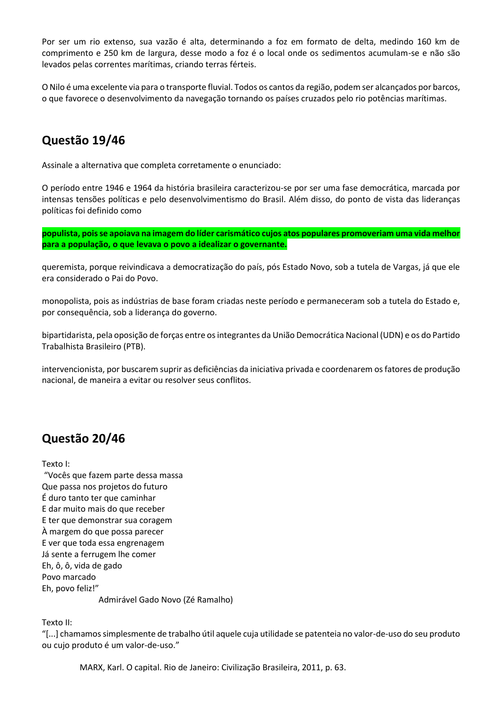Por ser um rio extenso, sua vazão é alta, determinando a foz em formato de delta, medindo 160 km de comprimento e 250 km de largura, desse modo a foz é o local onde os sedimentos acumulam-se e não são levados pelas correntes marítimas, criando terras férteis.

O Nilo é uma excelente via para o transporte fluvial. Todos os cantos da região, podem ser alcançados por barcos, o que favorece o desenvolvimento da navegação tornando os países cruzados pelo rio potências marítimas.

# **Questão 19/46**

Assinale a alternativa que completa corretamente o enunciado:

O período entre 1946 e 1964 da história brasileira caracterizou-se por ser uma fase democrática, marcada por intensas tensões políticas e pelo desenvolvimentismo do Brasil. Além disso, do ponto de vista das lideranças políticas foi definido como

**populista, pois se apoiava na imagem do líder carismático cujos atos populares promoveriam uma vida melhor para a população, o que levava o povo a idealizar o governante.**

queremista, porque reivindicava a democratização do país, pós Estado Novo, sob a tutela de Vargas, já que ele era considerado o Pai do Povo.

monopolista, pois as indústrias de base foram criadas neste período e permaneceram sob a tutela do Estado e, por consequência, sob a liderança do governo.

bipartidarista, pela oposição de forças entre os integrantes da União Democrática Nacional (UDN) e os do Partido Trabalhista Brasileiro (PTB).

intervencionista, por buscarem suprir as deficiências da iniciativa privada e coordenarem os fatores de produção nacional, de maneira a evitar ou resolver seus conflitos.

# **Questão 20/46**

Texto I:

"Vocês que fazem parte dessa massa Que passa nos projetos do futuro É duro tanto ter que caminhar E dar muito mais do que receber E ter que demonstrar sua coragem À margem do que possa parecer E ver que toda essa engrenagem Já sente a ferrugem lhe comer Eh, ô, ô, vida de gado Povo marcado Eh, povo feliz!" Admirável Gado Novo (Zé Ramalho)

Texto II:

"[...] chamamos simplesmente de trabalho útil aquele cuja utilidade se patenteia no valor-de-uso do seu produto ou cujo produto é um valor-de-uso."

MARX, Karl. O capital. Rio de Janeiro: Civilização Brasileira, 2011, p. 63.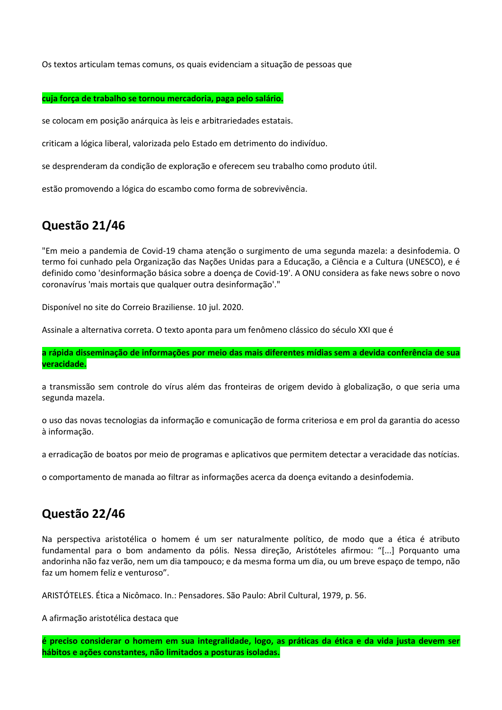Os textos articulam temas comuns, os quais evidenciam a situação de pessoas que

#### **cuja força de trabalho se tornou mercadoria, paga pelo salário.**

se colocam em posição anárquica às leis e arbitrariedades estatais.

criticam a lógica liberal, valorizada pelo Estado em detrimento do indivíduo.

se desprenderam da condição de exploração e oferecem seu trabalho como produto útil.

estão promovendo a lógica do escambo como forma de sobrevivência.

# **Questão 21/46**

"Em meio a pandemia de Covid-19 chama atenção o surgimento de uma segunda mazela: a desinfodemia. O termo foi cunhado pela Organização das Nações Unidas para a Educação, a Ciência e a Cultura (UNESCO), e é definido como 'desinformação básica sobre a doença de Covid-19'. A ONU considera as fake news sobre o novo coronavírus 'mais mortais que qualquer outra desinformação'."

Disponível no site do Correio Braziliense. 10 jul. 2020.

Assinale a alternativa correta. O texto aponta para um fenômeno clássico do século XXI que é

**a rápida disseminação de informações por meio das mais diferentes mídias sem a devida conferência de sua veracidade.**

a transmissão sem controle do vírus além das fronteiras de origem devido à globalização, o que seria uma segunda mazela.

o uso das novas tecnologias da informação e comunicação de forma criteriosa e em prol da garantia do acesso à informação.

a erradicação de boatos por meio de programas e aplicativos que permitem detectar a veracidade das notícias.

o comportamento de manada ao filtrar as informações acerca da doença evitando a desinfodemia.

# **Questão 22/46**

Na perspectiva aristotélica o homem é um ser naturalmente político, de modo que a ética é atributo fundamental para o bom andamento da pólis. Nessa direção, Aristóteles afirmou: "[...] Porquanto uma andorinha não faz verão, nem um dia tampouco; e da mesma forma um dia, ou um breve espaço de tempo, não faz um homem feliz e venturoso".

ARISTÓTELES. Ética a Nicômaco. In.: Pensadores. São Paulo: Abril Cultural, 1979, p. 56.

A afirmação aristotélica destaca que

**é preciso considerar o homem em sua integralidade, logo, as práticas da ética e da vida justa devem ser hábitos e ações constantes, não limitados a posturas isoladas.**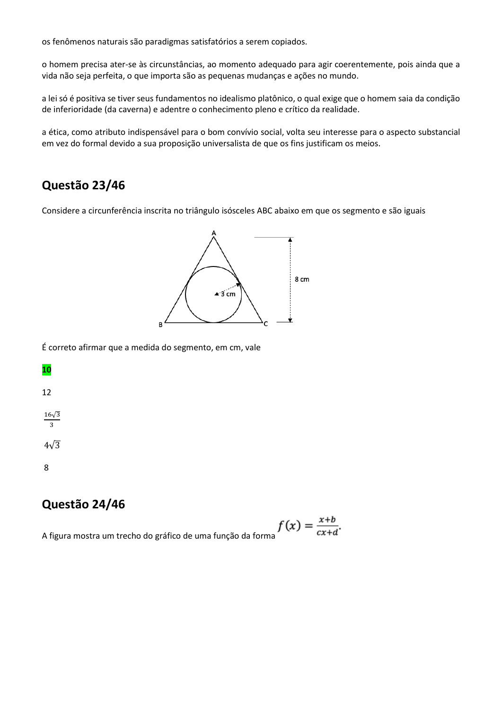os fenômenos naturais são paradigmas satisfatórios a serem copiados.

o homem precisa ater-se às circunstâncias, ao momento adequado para agir coerentemente, pois ainda que a vida não seja perfeita, o que importa são as pequenas mudanças e ações no mundo.

a lei só é positiva se tiver seus fundamentos no idealismo platônico, o qual exige que o homem saia da condição de inferioridade (da caverna) e adentre o conhecimento pleno e crítico da realidade.

a ética, como atributo indispensável para o bom convívio social, volta seu interesse para o aspecto substancial em vez do formal devido a sua proposição universalista de que os fins justificam os meios.

# **Questão 23/46**

Considere a circunferência inscrita no triângulo isósceles ABC abaixo em que os segmento e são iguais



É correto afirmar que a medida do segmento, em cm, vale

# **10**

12

16√3 3

4√3

8

# **Questão 24/46**

A figura mostra um trecho do gráfico de uma função da forma $f(x) = \frac{x+b}{cx+d}$ .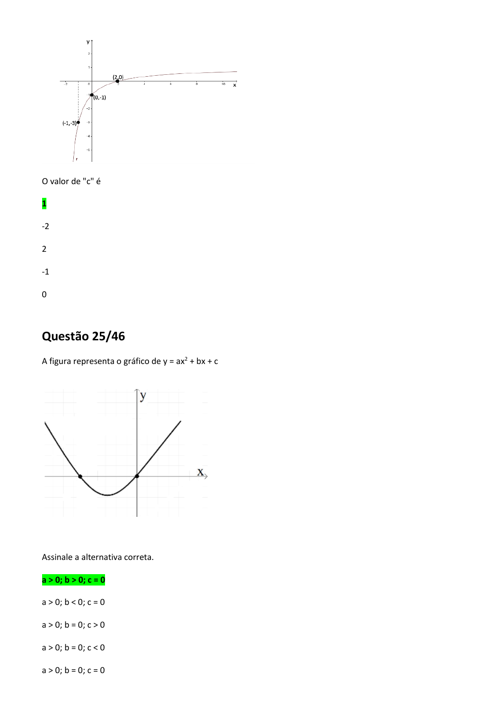

O valor de "c" é



# **Questão 25/46**

A figura representa o gráfico de  $y = ax^2 + bx + c$ 



Assinale a alternativa correta.

**a > 0; b > 0; c = 0**

 $a > 0$ ;  $b < 0$ ;  $c = 0$ 

 $a > 0$ ;  $b = 0$ ;  $c > 0$ 

 $a > 0$ ;  $b = 0$ ;  $c < 0$ 

 $a > 0$ ;  $b = 0$ ;  $c = 0$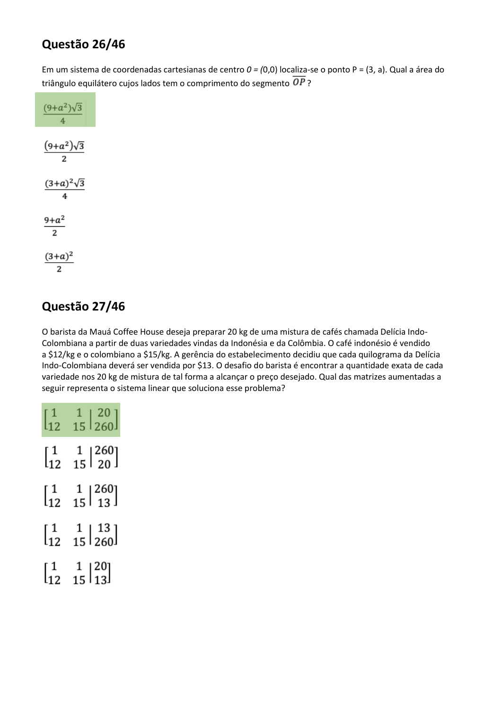# **Questão 26/46**

Em um sistema de coordenadas cartesianas de centro *0 = (*0,0) localiza-se o ponto P = (3, a). Qual a área do triângulo equilátero cujos lados tem o comprimento do segmento  $\overline{OP}$ ?

| $(9+a^2)\sqrt{3}$<br>4 |
|------------------------|
| $(9+a^2)\sqrt{3}$<br>2 |
| $(3+a)^2\sqrt{3}$<br>4 |
| $9 + a^2$<br>2         |
| $(3+a)^2$<br>2         |

# **Questão 27/46**

O barista da Mauá Coffee House deseja preparar 20 kg de uma mistura de cafés chamada Delícia Indo-Colombiana a partir de duas variedades vindas da Indonésia e da Colômbia. O café indonésio é vendido a \$12/kg e o colombiano a \$15/kg. A gerência do estabelecimento decidiu que cada quilograma da Delícia Indo-Colombiana deverá ser vendida por \$13. O desafio do barista é encontrar a quantidade exata de cada variedade nos 20 kg de mistura de tal forma a alcançar o preço desejado. Qual das matrizes aumentadas a seguir representa o sistema linear que soluciona esse problema?

| $\begin{bmatrix} 1 \\ 12 \end{bmatrix}$                         | $\begin{array}{c c} 1 & 20 \\ 15 & 260 \end{array}$                            |
|-----------------------------------------------------------------|--------------------------------------------------------------------------------|
| $\begin{bmatrix} 1 \\ 12 \end{bmatrix}$                         | $\begin{array}{c} 1 \\ 15 \end{array} \begin{bmatrix} 260 \\ 20 \end{bmatrix}$ |
| $\Big[ \begin{smallmatrix} 1\ 1\ 1\ \end{smallmatrix} \Big]$    | $\begin{array}{c} 1 & 260 \\ 15 & 13 \end{array}$                              |
| $\bigl[\begin{smallmatrix} 1\1\2 \end{smallmatrix}\bigr]$       | $\begin{array}{c c} 1 & 13 \\ 15 & 260 \end{array}$                            |
| $\bigl[ \begin{smallmatrix} 1 \ 1 \ 1 \end{smallmatrix} \bigr]$ | $\begin{array}{c} 1 \\ 15 \overline{\smash{\big)}\ 13} \end{array}$            |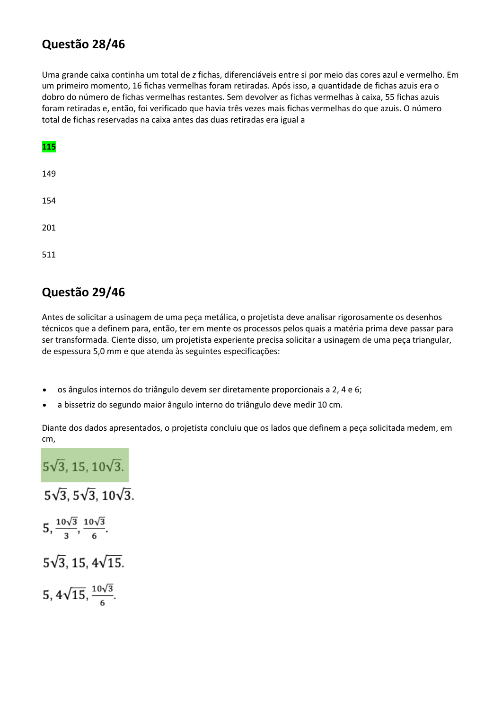# **Questão 28/46**

Uma grande caixa continha um total de *z* fichas, diferenciáveis entre si por meio das cores azul e vermelho. Em um primeiro momento, 16 fichas vermelhas foram retiradas. Após isso, a quantidade de fichas azuis era o dobro do número de fichas vermelhas restantes. Sem devolver as fichas vermelhas à caixa, 55 fichas azuis foram retiradas e, então, foi verificado que havia três vezes mais fichas vermelhas do que azuis. O número total de fichas reservadas na caixa antes das duas retiradas era igual a

| 115 |  |  |  |
|-----|--|--|--|
| 149 |  |  |  |
| 154 |  |  |  |
| 201 |  |  |  |
| 511 |  |  |  |

# **Questão 29/46**

Antes de solicitar a usinagem de uma peça metálica, o projetista deve analisar rigorosamente os desenhos técnicos que a definem para, então, ter em mente os processos pelos quais a matéria prima deve passar para ser transformada. Ciente disso, um projetista experiente precisa solicitar a usinagem de uma peça triangular, de espessura 5,0 mm e que atenda às seguintes especificações:

- os ângulos internos do triângulo devem ser diretamente proporcionais a 2, 4 e 6;
- a bissetriz do segundo maior ângulo interno do triângulo deve medir 10 cm.

Diante dos dados apresentados, o projetista concluiu que os lados que definem a peça solicitada medem, em cm,

 $5\sqrt{3}$ , 15,  $10\sqrt{3}$ .  $5\sqrt{3}$ ,  $5\sqrt{3}$ ,  $10\sqrt{3}$ .  $5, \frac{10\sqrt{3}}{3}, \frac{10\sqrt{3}}{6}.$  $5\sqrt{3}$ , 15,  $4\sqrt{15}$ . 5,  $4\sqrt{15}$ ,  $\frac{10\sqrt{3}}{6}$ .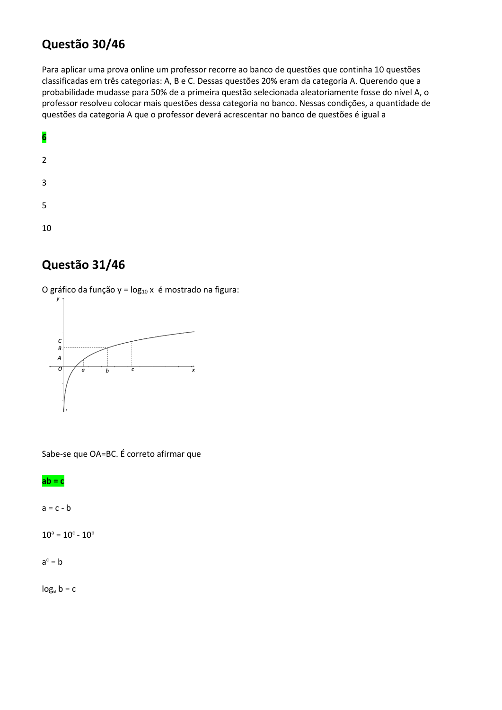# **Questão 30/46**

Para aplicar uma prova online um professor recorre ao banco de questões que continha 10 questões classificadas em três categorias: A, B e C. Dessas questões 20% eram da categoria A. Querendo que a probabilidade mudasse para 50% de a primeira questão selecionada aleatoriamente fosse do nível A, o professor resolveu colocar mais questões dessa categoria no banco. Nessas condições, a quantidade de questões da categoria A que o professor deverá acrescentar no banco de questões é igual a



# **Questão 31/46**

O gráfico da função y =  $log_{10} x$  é mostrado na figura:



Sabe-se que OA=BC. É correto afirmar que

#### **ab = c**

 $a = c - b$ 

 $10^a = 10^c - 10^b$ 

 $a^c = b$ 

 $log<sub>a</sub> b = c$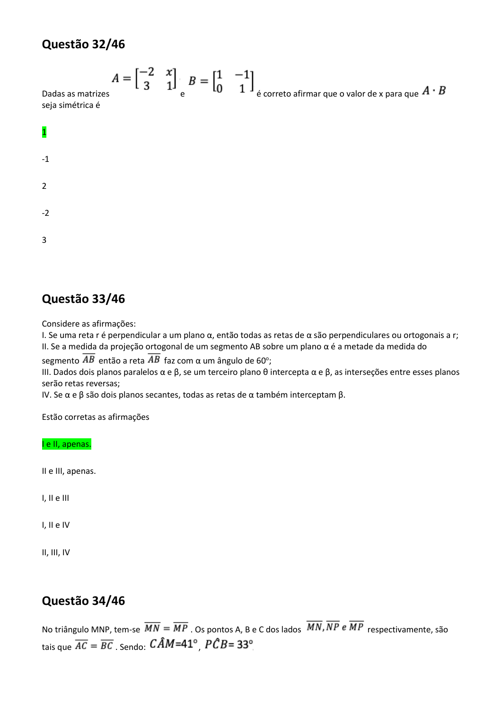# **Questão 32/46**

$$
A = \begin{bmatrix} -2 & x \\ 3 & 1 \end{bmatrix} \begin{bmatrix} B = \begin{bmatrix} 1 & -1 \\ 0 & 1 \end{bmatrix} \end{bmatrix}
$$
é correcto afirma que o valor de x para que  $A \cdot B$ 

Dadas as matrize seja simétrica é



# **Questão 33/46**

Considere as afirmações:

I. Se uma reta r é perpendicular a um plano α, então todas as retas de α são perpendiculares ou ortogonais a r; II. Se a medida da projeção ortogonal de um segmento AB sobre um plano α é a metade da medida do

segmento  $AB$  então a reta  $AB$  faz com α um ângulo de 60°;

III. Dados dois planos paralelos α e β, se um terceiro plano θ intercepta α e β, as interseções entre esses planos serão retas reversas;

IV. Se α e β são dois planos secantes, todas as retas de α também interceptam β.

Estão corretas as afirmações

I e II, apenas.

II e III, apenas.

I, II e III

I, II e IV

II, III, IV

# **Questão 34/46**

No triângulo MNP, tem-se  $\overline{MN} = \overline{MP}$  . Os pontos A, B e C dos lados  $\overline{MN}$ ,  $\overline{NP}$  e  $\overline{MP}$  respectivamente, são tais que  $\overline{AC} = \overline{BC}$ . Sendo:  $\widehat{CAM} = 41^\circ$   $\widehat{PCB} = 33^\circ$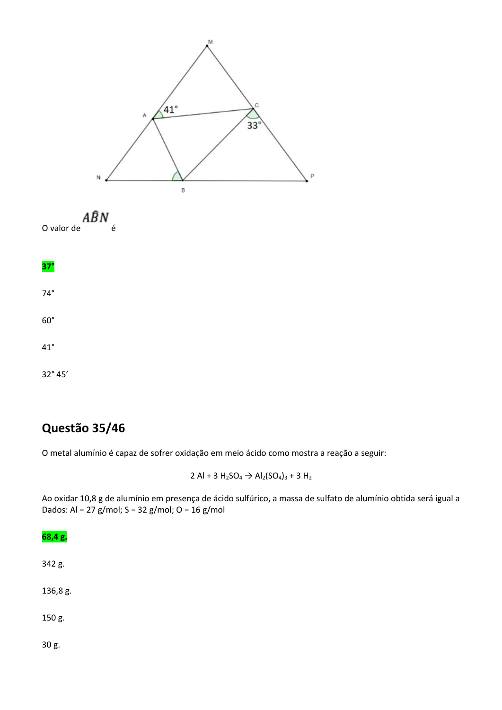



**37°**

74°

60°

41°

32° 45'

# **Questão 35/46**

O metal alumínio é capaz de sofrer oxidação em meio ácido como mostra a reação a seguir:

2 Al + 3  $H_2SO_4 \rightarrow Al_2(SO_4)_3 + 3 H_2$ 

Ao oxidar 10,8 g de alumínio em presença de ácido sulfúrico, a massa de sulfato de alumínio obtida será igual a Dados: Al = 27 g/mol; S = 32 g/mol; O = 16 g/mol

# **68,4 g.** 342 g. 136,8 g. 150 g.

30 g.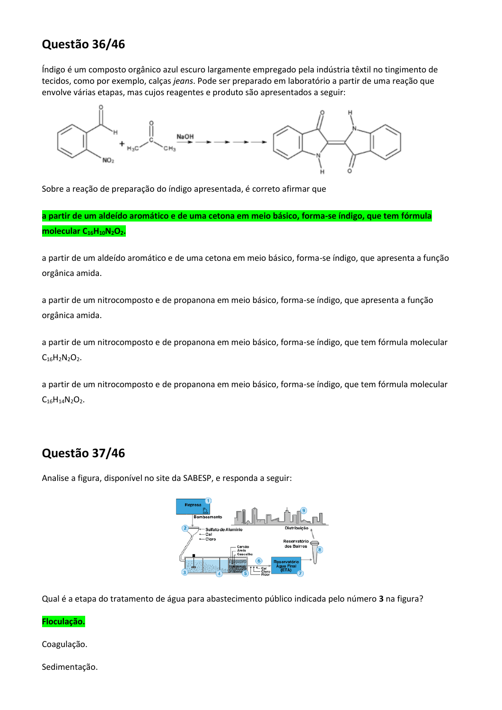# **Questão 36/46**

Índigo é um composto orgânico azul escuro largamente empregado pela indústria têxtil no tingimento de tecidos, como por exemplo, calças *jeans*. Pode ser preparado em laboratório a partir de uma reação que envolve várias etapas, mas cujos reagentes e produto são apresentados a seguir:



Sobre a reação de preparação do índigo apresentada, é correto afirmar que

**a partir de um aldeído aromático e de uma cetona em meio básico, forma-se índigo, que tem fórmula molecular C16H10N2O2.**

a partir de um aldeído aromático e de uma cetona em meio básico, forma-se índigo, que apresenta a função orgânica amida.

a partir de um nitrocomposto e de propanona em meio básico, forma-se índigo, que apresenta a função orgânica amida.

a partir de um nitrocomposto e de propanona em meio básico, forma-se índigo, que tem fórmula molecular  $C_{16}H_2N_2O_2$ .

a partir de um nitrocomposto e de propanona em meio básico, forma-se índigo, que tem fórmula molecular  $C_{16}H_{14}N_2O_2$ .

# **Questão 37/46**

Analise a figura, disponível no site da SABESP, e responda a seguir:



Qual é a etapa do tratamento de água para abastecimento público indicada pelo número **3** na figura?

#### **Floculação.**

Coagulação.

Sedimentação.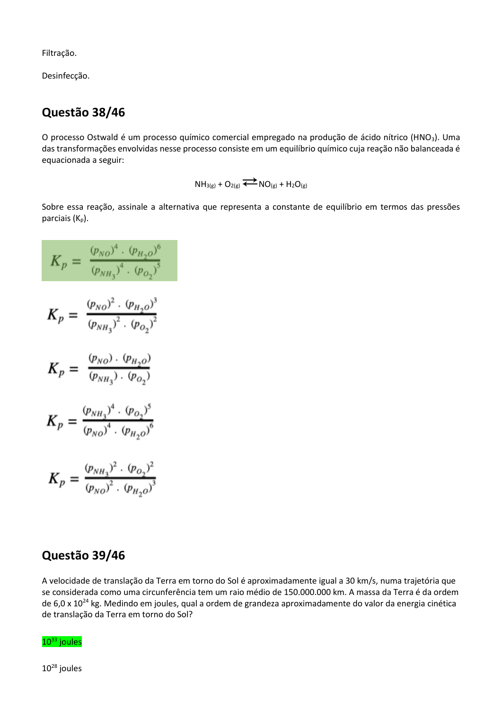Filtração.

Desinfecção.

# **Questão 38/46**

O processo Ostwald é um processo químico comercial empregado na produção de ácido nítrico (HNO<sub>3</sub>). Uma das transformações envolvidas nesse processo consiste em um equilíbrio químico cuja reação não balanceada é equacionada a seguir:

 $NH_{3(g)} + O_{2(g)} \leftrightarrow SO_{(g)} + H_2O_{(g)}$ 

Sobre essa reação, assinale a alternativa que representa a constante de equilíbrio em termos das pressões parciais  $(K_p)$ .

$$
K_p = \frac{(p_{NO})^4 \cdot (p_{H_2O})^6}{(p_{NH_3})^4 \cdot (p_{O_2})^5}
$$
  
\n
$$
K_p = \frac{(p_{NO})^2 \cdot (p_{H_2O})^3}{(p_{NH_3})^2 \cdot (p_{O_2})^2}
$$
  
\n
$$
K_p = \frac{(p_{NO}) \cdot (p_{H_2O})}{(p_{NH_3}) \cdot (p_{O_2})}
$$
  
\n
$$
K_p = \frac{(p_{NH_3})^4 \cdot (p_{O_2})^5}{(p_{NO})^4 \cdot (p_{H_2O})^6}
$$
  
\n
$$
K_p = \frac{(p_{NH_3})^2 \cdot (p_{O_2})^2}{(p_{NO})^2 \cdot (p_{H_2O})^3}
$$

### **Questão 39/46**

A velocidade de translação da Terra em torno do Sol é aproximadamente igual a 30 km/s, numa trajetória que se considerada como uma circunferência tem um raio médio de 150.000.000 km. A massa da Terra é da ordem de 6,0 x 10<sup>24</sup> kg. Medindo em joules, qual a ordem de grandeza aproximadamente do valor da energia cinética de translação da Terra em torno do Sol?



 $10^{28}$  joules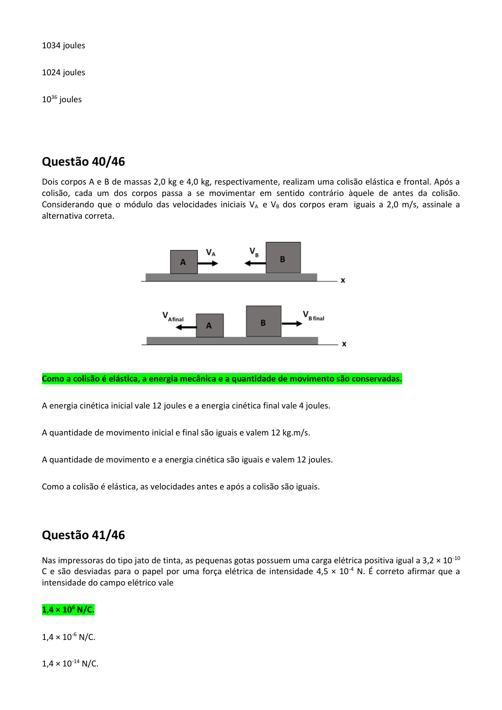1034 joules

1024 joules

 $10^{36}$  joules

# **Questão 40/46**

Dois corpos A e B de massas 2,0 kg e 4,0 kg, respectivamente, realizam uma colisão elástica e frontal. Após a colisão, cada um dos corpos passa a se movimentar em sentido contrário àquele de antes da colisão. Considerando que o módulo das velocidades iniciais  $V_A$  e  $V_B$  dos corpos eram iguais a 2,0 m/s, assinale a alternativa correta.



**Como a colisão é elástica, a energia mecânica e a quantidade de movimento são conservadas.**

A energia cinética inicial vale 12 joules e a energia cinética final vale 4 joules.

A quantidade de movimento inicial e final são iguais e valem 12 kg.m/s.

A quantidade de movimento e a energia cinética são iguais e valem 12 joules.

Como a colisão é elástica, as velocidades antes e após a colisão são iguais.

### **Questão 41/46**

Nas impressoras do tipo jato de tinta, as pequenas gotas possuem uma carga elétrica positiva igual a 3,2  $\times$  10<sup>-10</sup> C e são desviadas para o papel por uma força elétrica de intensidade  $4.5 \times 10^{-4}$  N. É correto afirmar que a intensidade do campo elétrico vale

#### **1,4 × 10<sup>6</sup> N/C.**

 $1.4 \times 10^{-6}$  N/C.

 $1,4 \times 10^{-14}$  N/C.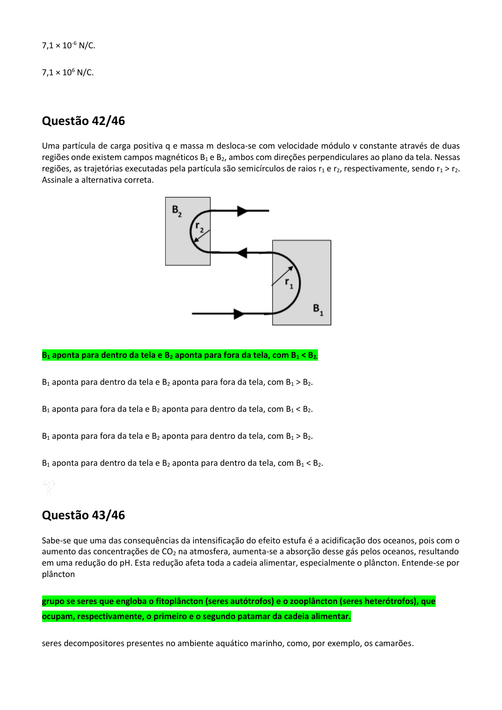$7.1 \times 10^{-6}$  N/C.

 $7.1 \times 10^6$  N/C.

### **Questão 42/46**

Uma partícula de carga positiva q e massa m desloca-se com velocidade módulo v constante através de duas regiões onde existem campos magnéticos  $B_1 e B_2$ , ambos com direções perpendiculares ao plano da tela. Nessas regiões, as trajetórias executadas pela partícula são semicírculos de raios  $r_1$  e r<sub>2</sub>, respectivamente, sendo  $r_1 > r_2$ . Assinale a alternativa correta.



**B<sup>1</sup> aponta para dentro da tela e B<sup>2</sup> aponta para fora da tela, com B<sup>1</sup> < B2.**

 $B_1$  aponta para dentro da tela e  $B_2$  aponta para fora da tela, com  $B_1 > B_2$ .

 $B_1$  aponta para fora da tela e  $B_2$  aponta para dentro da tela, com  $B_1 < B_2$ .

 $B_1$  aponta para fora da tela e  $B_2$  aponta para dentro da tela, com  $B_1 > B_2$ .

 $B_1$  aponta para dentro da tela e  $B_2$  aponta para dentro da tela, com  $B_1 < B_2$ .

### **Questão 43/46**

Sabe-se que uma das consequências da intensificação do efeito estufa é a acidificação dos oceanos, pois com o aumento das concentrações de CO<sub>2</sub> na atmosfera, aumenta-se a absorção desse gás pelos oceanos, resultando em uma redução do pH. Esta redução afeta toda a cadeia alimentar, especialmente o plâncton. Entende-se por plâncton

**grupo se seres que engloba o fitoplâncton (seres autótrofos) e o zooplâncton (seres heterótrofos), que ocupam, respectivamente, o primeiro e o segundo patamar da cadeia alimentar.**

seres decompositores presentes no ambiente aquático marinho, como, por exemplo, os camarões.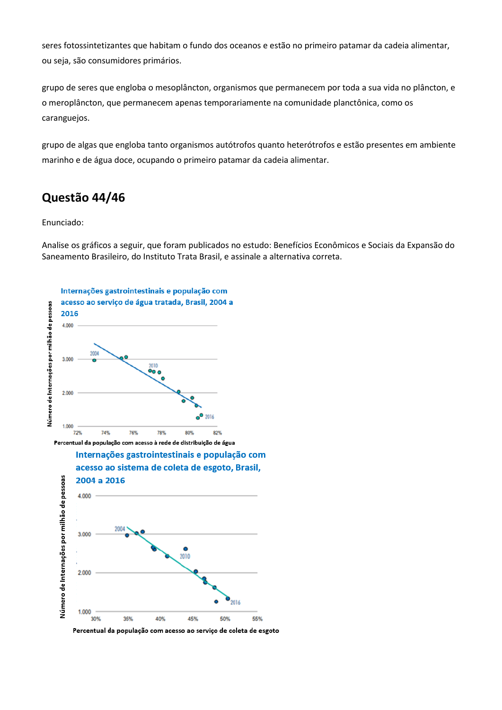seres fotossintetizantes que habitam o fundo dos oceanos e estão no primeiro patamar da cadeia alimentar, ou seja, são consumidores primários.

grupo de seres que engloba o mesoplâncton, organismos que permanecem por toda a sua vida no plâncton, e o meroplâncton, que permanecem apenas temporariamente na comunidade planctônica, como os caranguejos.

grupo de algas que engloba tanto organismos autótrofos quanto heterótrofos e estão presentes em ambiente marinho e de água doce, ocupando o primeiro patamar da cadeia alimentar.

# **Questão 44/46**

#### Enunciado:

Analise os gráficos a seguir, que foram publicados no estudo: Benefícios Econômicos e Sociais da Expansão do Saneamento Brasileiro, do Instituto Trata Brasil, e assinale a alternativa correta.





Percentual da população com acesso ao serviço de coleta de esgoto